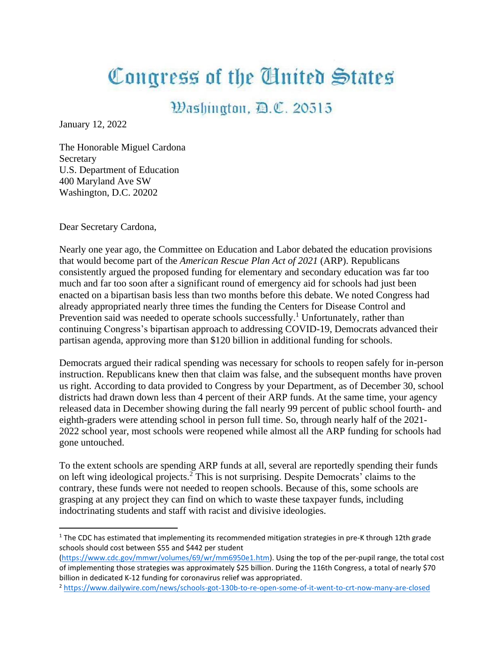## Congress of the Cluited States

## Washington, D.C. 20515

January 12, 2022

The Honorable Miguel Cardona Secretary U.S. Department of Education 400 Maryland Ave SW Washington, D.C. 20202

Dear Secretary Cardona,

Nearly one year ago, the Committee on Education and Labor debated the education provisions that would become part of the *American Rescue Plan Act of 2021* (ARP). Republicans consistently argued the proposed funding for elementary and secondary education was far too much and far too soon after a significant round of emergency aid for schools had just been enacted on a bipartisan basis less than two months before this debate. We noted Congress had already appropriated nearly three times the funding the Centers for Disease Control and Prevention said was needed to operate schools successfully.<sup>1</sup> Unfortunately, rather than continuing Congress's bipartisan approach to addressing COVID-19, Democrats advanced their partisan agenda, approving more than \$120 billion in additional funding for schools.

Democrats argued their radical spending was necessary for schools to reopen safely for in-person instruction. Republicans knew then that claim was false, and the subsequent months have proven us right. According to data provided to Congress by your Department, as of December 30, school districts had drawn down less than 4 percent of their ARP funds. At the same time, your agency released data in December showing during the fall nearly 99 percent of public school fourth- and eighth-graders were attending school in person full time. So, through nearly half of the 2021- 2022 school year, most schools were reopened while almost all the ARP funding for schools had gone untouched.

To the extent schools are spending ARP funds at all, several are reportedly spending their funds on left wing ideological projects.<sup>2</sup> This is not surprising. Despite Democrats' claims to the contrary, these funds were not needed to reopen schools. Because of this, some schools are grasping at any project they can find on which to waste these taxpayer funds, including indoctrinating students and staff with racist and divisive ideologies.

 $1$  The CDC has estimated that implementing its recommended mitigation strategies in pre-K through 12th grade schools should cost between \$55 and \$442 per student

[<sup>\(</sup>https://www.cdc.gov/mmwr/volumes/69/wr/mm6950e1.htm\)](https://www.cdc.gov/mmwr/volumes/69/wr/mm6950e1.htm). Using the top of the per-pupil range, the total cost of implementing those strategies was approximately \$25 billion. During the 116th Congress, a total of nearly \$70 billion in dedicated K-12 funding for coronavirus relief was appropriated.

<sup>2</sup> <https://www.dailywire.com/news/schools-got-130b-to-re-open-some-of-it-went-to-crt-now-many-are-closed>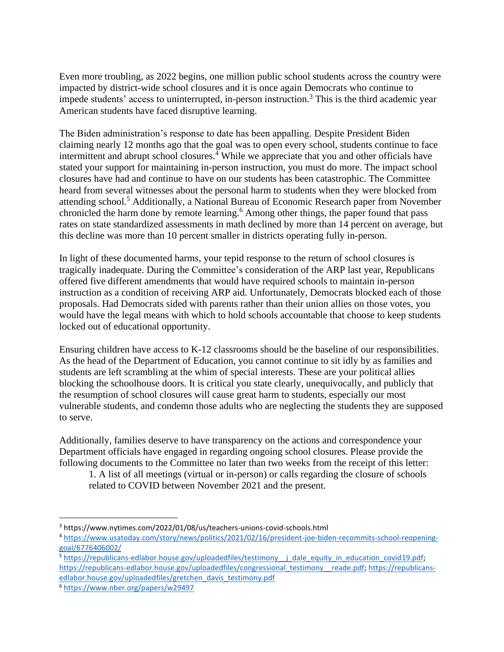Even more troubling, as 2022 begins, one million public school students across the country were impacted by district-wide school closures and it is once again Democrats who continue to impede students' access to uninterrupted, in-person instruction. <sup>3</sup> This is the third academic year American students have faced disruptive learning.

The Biden administration's response to date has been appalling. Despite President Biden claiming nearly 12 months ago that the goal was to open every school, students continue to face intermittent and abrupt school closures. <sup>4</sup> While we appreciate that you and other officials have stated your support for maintaining in-person instruction, you must do more. The impact school closures have had and continue to have on our students has been catastrophic. The Committee heard from several witnesses about the personal harm to students when they were blocked from attending school.<sup>5</sup> Additionally, a National Bureau of Economic Research paper from November chronicled the harm done by remote learning.<sup>6</sup> Among other things, the paper found that pass rates on state standardized assessments in math declined by more than 14 percent on average, but this decline was more than 10 percent smaller in districts operating fully in-person.

In light of these documented harms, your tepid response to the return of school closures is tragically inadequate. During the Committee's consideration of the ARP last year, Republicans offered five different amendments that would have required schools to maintain in-person instruction as a condition of receiving ARP aid. Unfortunately, Democrats blocked each of those proposals. Had Democrats sided with parents rather than their union allies on those votes, you would have the legal means with which to hold schools accountable that choose to keep students locked out of educational opportunity.

Ensuring children have access to K-12 classrooms should be the baseline of our responsibilities. As the head of the Department of Education, you cannot continue to sit idly by as families and students are left scrambling at the whim of special interests. These are your political allies blocking the schoolhouse doors. It is critical you state clearly, unequivocally, and publicly that the resumption of school closures will cause great harm to students, especially our most vulnerable students, and condemn those adults who are neglecting the students they are supposed to serve.

Additionally, families deserve to have transparency on the actions and correspondence your Department officials have engaged in regarding ongoing school closures. Please provide the following documents to the Committee no later than two weeks from the receipt of this letter:

1. A list of all meetings (virtual or in-person) or calls regarding the closure of schools related to COVID between November 2021 and the present.

<sup>3</sup> https://www.nytimes.com/2022/01/08/us/teachers-unions-covid-schools.html

<sup>4</sup> [https://www.usatoday.com/story/news/politics/2021/02/16/president-joe-biden-recommits-school-reopening](https://www.usatoday.com/story/news/politics/2021/02/16/president-joe-biden-recommits-school-reopening-goal/6776406002/)[goal/6776406002/](https://www.usatoday.com/story/news/politics/2021/02/16/president-joe-biden-recommits-school-reopening-goal/6776406002/)

<sup>5</sup> [https://republicans-edlabor.house.gov/uploadedfiles/testimony\\_\\_j\\_dale\\_equity\\_in\\_education\\_covid19.pdf;](https://republicans-edlabor.house.gov/uploadedfiles/testimony__j_dale_equity_in_education_covid19.pdf) [https://republicans-edlabor.house.gov/uploadedfiles/congressional\\_testimony\\_\\_reade.pdf;](https://republicans-edlabor.house.gov/uploadedfiles/congressional_testimony__reade.pdf) [https://republicans](https://republicans-edlabor.house.gov/uploadedfiles/gretchen_davis_testimony.pdf)[edlabor.house.gov/uploadedfiles/gretchen\\_davis\\_testimony.pdf](https://republicans-edlabor.house.gov/uploadedfiles/gretchen_davis_testimony.pdf)

<sup>6</sup> <https://www.nber.org/papers/w29497>